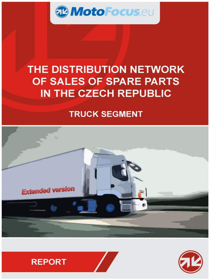

### THE DISTRIBUTION NETWORK OF SALES OF SPARE PARTS IN THE CZECH REPUBLIC

### **TRUCK SEGMENT**







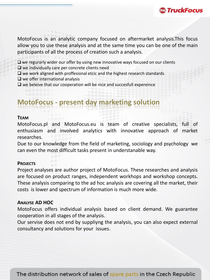

MotoFocus is an analytic company focused on aftermarket analysis.This focus allow you to use these analysis and at the same time you can be one of the main participants of all the process of creation such a analysis.

 $\square$  we regurarly wider our offer by using new innovative ways focused on our clients

 $\Box$  we individually care per concrete clients need

- $\Box$  we work aligned with proffesional etcic and the highest research standards
- $\Box$  we offer international analysis
- $\Box$  we beleive that our cooperation will be nice and succesfull expereince

### **MotoFocus - present day marketing solution**

#### **TEAM**

MotoFocus.pl and MotoFocus.eu is team of creative specialists, full of enthusiasm and involved analytics with innovative approach of market researches.

Due to our knowledge from the field of marketing, sociology and psychology we can even the most difficult tasks present in understanable way.

#### **PROJECTS**

Project analyses are author project of MotoFocus. These researches and analysis are focused on product ranges, independent workhops and workshop concepts. These analysis comparing to the ad hoc analysis are covering all the market, their costs is lower and spectrum of information is much more wide.

#### **ANALYSE AD HOC**

MotoFocus offers individual analysis based on client demand. We guarantee cooperation in all stages of the analysis.

Our servise does not end by suppliyng the analysis, you can also expect external consultancy and solutions for your issues.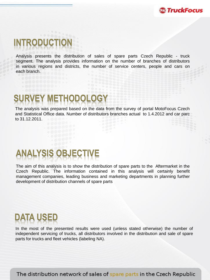

### **INTRODUCTION**

Analysis presents the distribution of sales of spare parts Czech Republic - truck segment. The analysis provides information on the number of branches of distributors in various regions and districts, the number of service centers, people and cars on each branch.

# **SURVEY METHODOLOGY**

The analysis was prepared based on the data from the survey of portal MotoFocus Czech and Statistical Office data. Number of distributors branches actual to 1.4.2012 and car parc to 31.12.2011.

# **ANALYSIS OBJECTIVE**

The aim of this analysis is to show the distribution of spare parts to the Aftermarket in the Czech Republic. The information contained in this analysis will certainly benefit management companies, leading business and marketing departments in planning further development of distribution channels of spare parts

## **DATA USED**

In the most of the presented results were used (unless stated otherwise) the number of independent servicing of trucks, all distributors involved in the distribution and sale of spare parts for trucks and fleet vehicles (labeling NA).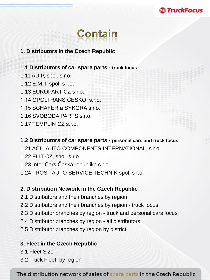

# Contain

#### **1. Distributors in the Czech Republic**

**1.1 Distributors of car spare parts - truck focus** 1.11 ADIP, spol. s r.o. 1.12 E.M.T. spol. s r.o. 1.13 EUROPART CZ s.r.o. 1.14 OPOLTRANS ČESKO, s.r.o. 1.15 SCHÄFER a SÝKORA s.r.o. 1.16 SVOBODA PARTS s.r.o. 1.17 TEMPLIN CZ s.r.o.

#### **1.2 Distributors of car spare parts - personal cars and truck focus**

1.21 ACI - AUTO COMPONENTS INTERNATIONAL, s.r.o.

1.22 ELIT CZ, spol. s r.o.

1.23 Inter Cars Česká republika s.r.o.

1.24 TROST AUTO SERVICE TECHNIK spol. s r.o.

#### **2. Distribution Network in the Czech Republic**

2.1 Distributors and their branches by region

2.2 Distributors and their branches by region - truck focus

2.3 Distributor branches by region - truck and personal cars focus

2.4 Distributor branches by region - all distributors

2.5 Distributor branches by region by district

#### **3. Fleet in the Czech Republic**

3.1 Fleet Size

3.2 Truck Fleet by region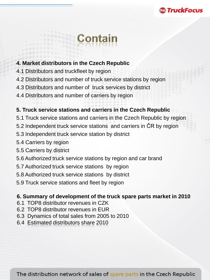### *<b>@TruckFocu*

# **Contain**

#### **4. Market distributors in the Czech Republic**

- 4.1 Distributors and truckfleet by region
- 4.2 Distributors and number of truck service stations by region
- 4.3 Distributors and number of truck services by district
- 4.4 Distributors and number of carriers by region

#### **5. Truck service stations and carriers in the Czech Republic**

- 5.1 Truck service stations and carriers in the Czech Republic by region
- 5.2 Independent truck service stations and carriers in ČR by region
- 5.3 Independent truck service station by district
- 5.4 Carriers by region
- 5.5 Carriers by district
- 5.6 Authorized truck service stations by region and car brand
- 5.7 Authorized truck service stations by region
- 5.8 Authorized truck service stations by district
- 5.9 Truck service stations and fleet by region

#### **6. Summary of development of the truck spare parts market in 2010**

- 6.1 TOP8 distributor revenues in CZK
- 6.2 TOP8 distributor revenues in EUR
- 6.3 Dynamics of total sales from 2005 to 2010
- 6.4 Estimated distributors share 2010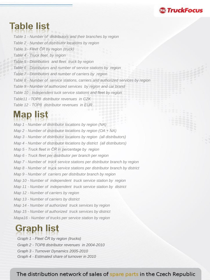### **Table list**

*Table 1 - Number of distributors and their branches by region Table 2 - Number of distributor locations by region Table 3 - Fleet ČR by region (truck) Table 4 - Truck fleet by region Table 5 - Distributors and fleet truck by region Table 6 - Distributors and number of service stations by region Table 7 - Distributors and number of carriers by region Table 8 - Number of service stations, carriers and authorized services by region Table 9 - Number of authorized services by region and car brand Table 10 - Independent tuck service stations and fleet by region Table11 - TOP8 distributor revenues in CZK Table 12 - TOP8 distributor revenues in EUR*

**ී TruckFocus** 

### **Map list**

*Map 1 - Number of distributor locations by region (NA) Map 2 - Number of distributor locations by region (OA + NA) Map 3 - Number of distributor locations by region (all distributors) Map 4 - Number of distributor locations by district (all distributors) Map 5 - Truck fleet in ČR in percentage by region Map 6 - Truck fleet per distributor per branch per region Map 7 - Number of truck service stations per distributor branch by region Map 8 - Number of truck service stations per distributor branch by district Map 9 - Number of carriers per distributor branch by region Map 10 - Number of independent truck service station by region Map 11 - Number of independent truck service station by district Map 12 - Number of carriers by region Map 13 - Number of carriers by district Map 14 - Number of authorized truck services by region Map 15 - Number of authorized truck services by district Mapa16 - Number of trucks per service station by region*

### **Graph list**

*Graph 1 - Fleet ČR by region (trucks) Graph 2 - TOP8 distributor revenues in 2004-2010 Graph 3 - Turnover Dynamics 2005-2010 Graph 4 - Estimated share of turnover in 2010*